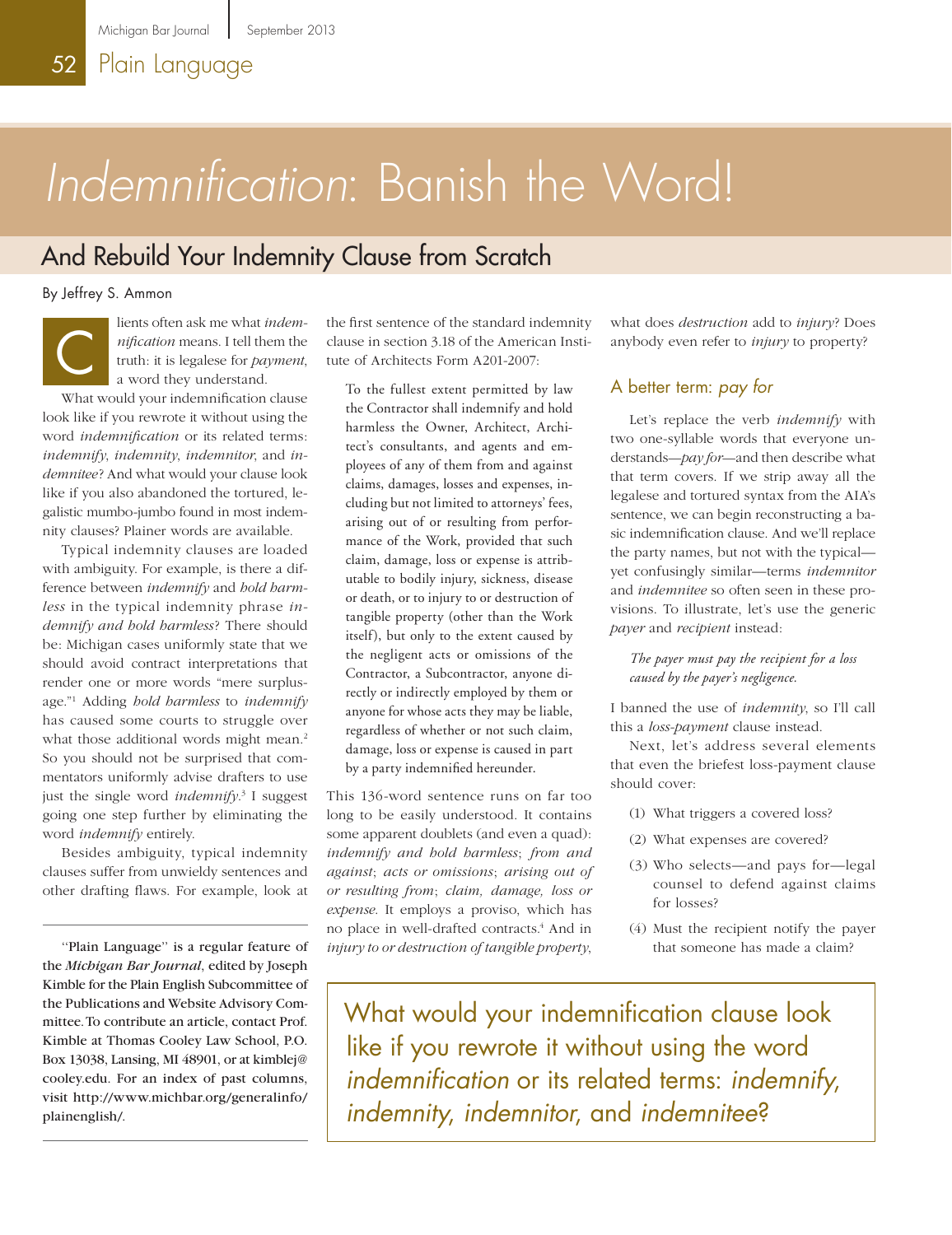# *Indemnification*: Banish the Word!

## And Rebuild Your Indemnity Clause from Scratch

#### By Jeffrey S. Ammon

lients often ask me what *indemnification* means. I tell them the truth: it is legalese for *payment*, a word they understand. C

What would your indemnification clause look like if you rewrote it without using the word *indemnification* or its related terms: *indemnify*, *indemnity*, *indemnitor*, and *indemnitee* ? And what would your clause look like if you also abandoned the tortured, legalistic mumbo-jumbo found in most indemnity clauses? Plainer words are available.

Typical indemnity clauses are loaded with ambiguity. For example, is there a difference between *indemnify* and *hold harmless* in the typical indemnity phrase *indemnify and hold harmless*? There should be: Michigan cases uniformly state that we should avoid contract interpretations that render one or more words "mere surplusage."1 Adding *hold harmless* to *indemnify* has caused some courts to struggle over what those additional words might mean.<sup>2</sup> So you should not be surprised that commentators uniformly advise drafters to use just the single word *indemnify*.<sup>3</sup> I suggest going one step further by eliminating the word *indemnify* entirely.

Besides ambiguity, typical indemnity clauses suffer from unwieldy sentences and other drafting flaws. For example, look at

the *Michigan Bar Journal*, edited by Joseph Kimble for the Plain English Subcommittee of the Publications and Website Advisory Committee. To contribute an article, contact Prof. Kimble at Thomas Cooley Law School, P.O. Box 13038, Lansing, MI 48901, or at kimblej@ cooley.edu. For an index of past columns, visit http://[www.michbar.org/generalinfo/](http://www.michbar.org/generalinfo/plainenglish/) [plainenglish/](http://www.michbar.org/generalinfo/plainenglish/).

the first sentence of the standard indemnity clause in section 3.18 of the American Institute of Architects Form A201-2007:

To the fullest extent permitted by law the Contractor shall indemnify and hold harmless the Owner, Architect, Architect's consultants, and agents and employees of any of them from and against claims, damages, losses and expenses, including but not limited to attorneys' fees, arising out of or resulting from performance of the Work, provided that such claim, damage, loss or expense is attributable to bodily injury, sickness, disease or death, or to injury to or destruction of tangible property (other than the Work itself), but only to the extent caused by the negligent acts or omissions of the Contractor, a Subcontractor, anyone directly or indirectly employed by them or anyone for whose acts they may be liable, regardless of whether or not such claim, damage, loss or expense is caused in part by a party indemnified hereunder.

This 136-word sentence runs on far too long to be easily understood. It contains some apparent doublets (and even a quad): *indemnify and hold harmless*; *from and against*; *acts or omissions*; *arising out of or resulting from*; *claim, damage, loss or expense*. It employs a proviso, which has no place in well-drafted contracts.4 And in "Plain Language" is a regular feature of *injury to or destruction of tangible property*, that someone has made a claim?

what does *destruction* add to *injury*? Does anybody even refer to *injury* to property?

#### A better term: *pay for*

Let's replace the verb *indemnify* with two one-syllable words that everyone understands—*pay for*—and then describe what that term covers. If we strip away all the legalese and tortured syntax from the AIA's sentence, we can begin reconstructing a basic indemnification clause. And we'll replace the party names, but not with the typical yet confusingly similar—terms *indemnitor* and *indemnitee* so often seen in these provisions. To illustrate, let's use the generic *payer* and *recipient* instead:

*The payer must pay the recipient for a loss caused by the payer's negligence.*

I banned the use of *indemnity*, so I'll call this a *loss-payment* clause instead.

Next, let's address several elements that even the briefest loss-payment clause should cover:

- (1) What triggers a covered loss?
- (2) What expenses are covered?
- (3) Who selects—and pays for—legal counsel to defend against claims for losses?
- (4) Must the recipient notify the payer

What would your indemnification clause look like if you rewrote it without using the word *indemnification* or its related terms: *indemnify*, *indemnity*, *indemnitor*, and *indemnitee*?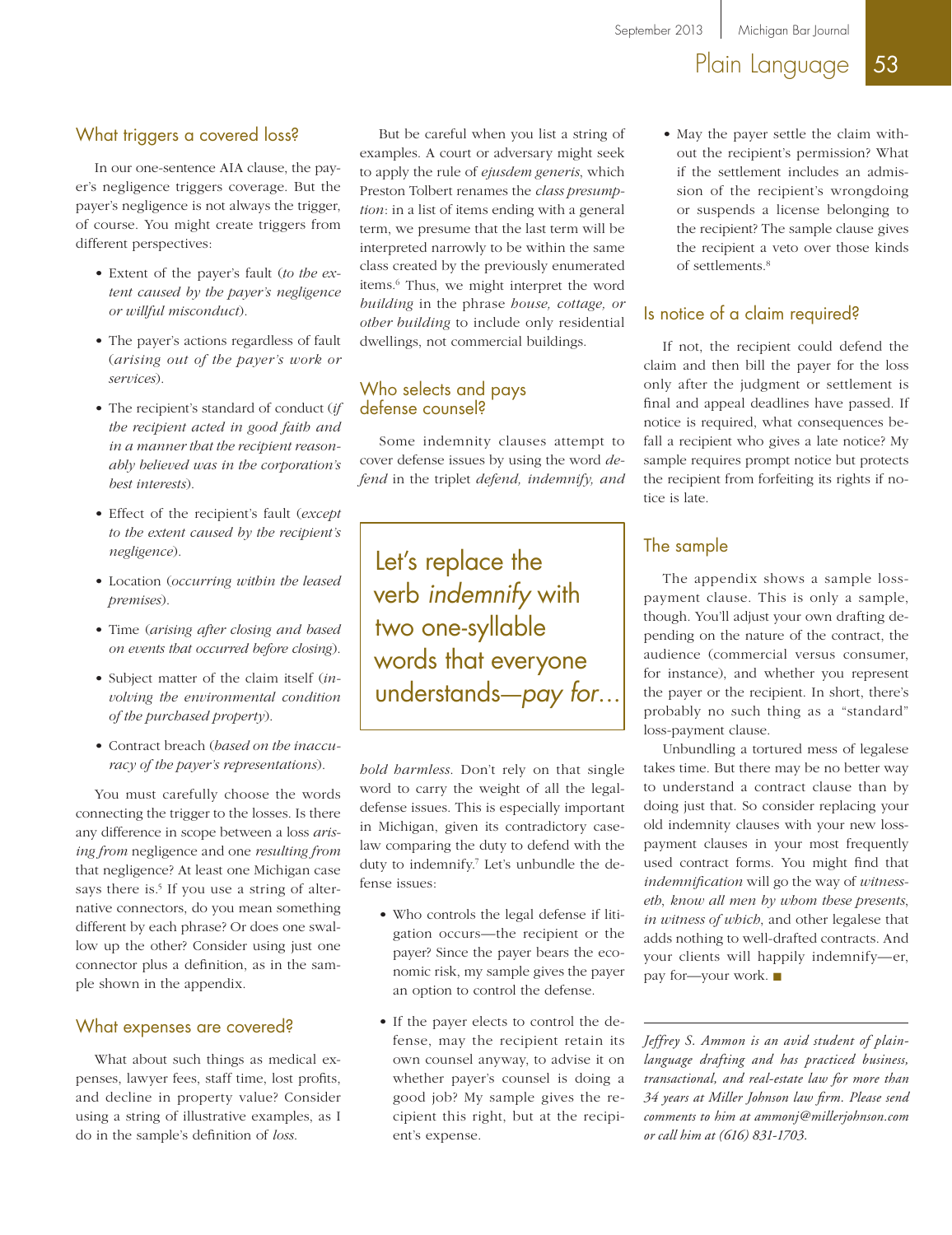## Plain Language 53

#### What triggers a covered loss?

In our one-sentence AIA clause, the payer's negligence triggers coverage. But the payer's negligence is not always the trigger, of course. You might create triggers from different perspectives:

- Extent of the payer's fault (*to the extent caused by the payer's negligence or willful misconduct*).
- The payer's actions regardless of fault (*arising out of the payer's work or services*).
- The recipient's standard of conduct (*if the recipient acted in good faith and in a manner that the recipient reasonably believed was in the corporation's best interests*).
- Effect of the recipient's fault (*except to the extent caused by the recipient's negligence*).
- Location (*occurring within the leased premises*).
- Time (*arising after closing and based on events that occurred before closing*).
- Subject matter of the claim itself (*involving the environmental condition of the purchased property*).
- Contract breach (*based on the inaccuracy of the payer's representations*).

You must carefully choose the words connecting the trigger to the losses. Is there any difference in scope between a loss *arising from* negligence and one *resulting from* that negligence? At least one Michigan case says there is.<sup>5</sup> If you use a string of alternative connectors, do you mean something different by each phrase? Or does one swallow up the other? Consider using just one connector plus a definition, as in the sample shown in the appendix.

#### What expenses are covered?

What about such things as medical expenses, lawyer fees, staff time, lost profits, and decline in property value? Consider using a string of illustrative examples, as I do in the sample's definition of *loss*.

But be careful when you list a string of examples. A court or adversary might seek to apply the rule of *ejusdem generis*, which Preston Tolbert renames the *class presumption*: in a list of items ending with a general term, we presume that the last term will be interpreted narrowly to be within the same class created by the previously enumerated items.6 Thus, we might interpret the word *building* in the phrase *house, cottage, or other building* to include only residential dwellings, not commercial buildings.

#### Who selects and pays defense counsel?

Some indemnity clauses attempt to cover defense issues by using the word *defend* in the triplet *defend, indemnify, and*

Let's replace the verb *indemnify* with two one-syllable words that everyone understands—*pay for*...

*hold harmless*. Don't rely on that single word to carry the weight of all the legaldefense issues. This is especially important in Michigan, given its contradictory caselaw comparing the duty to defend with the duty to indemnify.<sup>7</sup> Let's unbundle the defense issues:

- Who controls the legal defense if litigation occurs—the recipient or the payer? Since the payer bears the economic risk, my sample gives the payer an option to control the defense.
- If the payer elects to control the defense, may the recipient retain its own counsel anyway, to advise it on whether payer's counsel is doing a good job? My sample gives the recipient this right, but at the recipient's expense.

• May the payer settle the claim without the recipient's permission? What if the settlement includes an admission of the recipient's wrongdoing or suspends a license belonging to the recipient? The sample clause gives the recipient a veto over those kinds of settlements.8

#### Is notice of a claim required?

If not, the recipient could defend the claim and then bill the payer for the loss only after the judgment or settlement is final and appeal deadlines have passed. If notice is required, what consequences befall a recipient who gives a late notice? My sample requires prompt notice but protects the recipient from forfeiting its rights if notice is late.

#### The sample

The appendix shows a sample losspayment clause. This is only a sample, though. You'll adjust your own drafting depending on the nature of the contract, the audience (commercial versus consumer, for instance), and whether you represent the payer or the recipient. In short, there's probably no such thing as a "standard" loss-payment clause.

Unbundling a tortured mess of legalese takes time. But there may be no better way to understand a contract clause than by doing just that. So consider replacing your old indemnity clauses with your new losspayment clauses in your most frequently used contract forms. You might find that *indemnification* will go the way of *witnesseth*, *know all men by whom these presents*, *in witness of which*, and other legalese that adds nothing to well-drafted contracts. And your clients will happily indemnify—er, pay for—your work.  $\blacksquare$ 

*Jeffrey S. Ammon is an avid student of plainlanguage drafting and has practiced business, transactional, and real-estate law for more than 34 years at Miller Johnson law firm. Please send comments to him at ammonj@millerjohnson.com or call him at (616) 831-1703.*